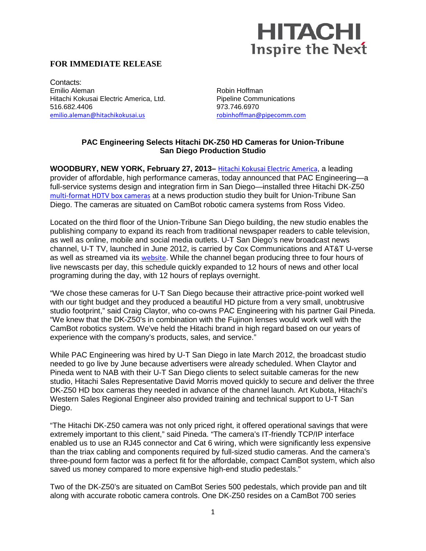## **HITACHI Inspire the Next**

## **FOR IMMEDIATE RELEASE**

Contacts: Emilio Aleman Hitachi Kokusai Electric America, Ltd. 516.682.4406 [emilio.aleman@hitachikokusai.us](mailto:emilio.aleman@hitachikokusai.us)

Robin Hoffman Pipeline Communications 973.746.6970 [robinhoffman@pipecomm.com](mailto:robinhoffman@pipecomm.com)

## **PAC Engineering Selects Hitachi DK-Z50 HD Cameras for Union-Tribune San Diego Production Studio**

**WOODBURY, NEW YORK, February 27, 2013–** [Hitachi Kokusai Electric America](http://www.hitachi-kokusai.us/), a leading provider of affordable, high performance cameras, today announced that PAC Engineering—a full-service systems design and integration firm in San Diego—installed three Hitachi DK-Z50 [multi-format HDTV box cameras](http://www.hitachikokusai.us/Products/BroadcastandProfessionalCameras/BroadcastandStudioProductionCameras/POC_014526.html) at a news production studio they built for Union-Tribune San Diego. The cameras are situated on CamBot robotic camera systems from Ross Video.

Located on the third floor of the Union-Tribune San Diego building, the new studio enables the publishing company to expand its reach from traditional newspaper readers to cable television, as well as online, mobile and social media outlets. U-T San Diego's new broadcast news channel, U-T TV, launched in June 2012, is carried by Cox Communications and AT&T U-verse as well as streamed via its [website](http://www.uttv.com/). While the channel began producing three to four hours of live newscasts per day, this schedule quickly expanded to 12 hours of news and other local programing during the day, with 12 hours of replays overnight.

"We chose these cameras for U-T San Diego because their attractive price-point worked well with our tight budget and they produced a beautiful HD picture from a very small, unobtrusive studio footprint," said Craig Claytor, who co-owns PAC Engineering with his partner Gail Pineda. "We knew that the DK-Z50's in combination with the Fujinon lenses would work well with the CamBot robotics system. We've held the Hitachi brand in high regard based on our years of experience with the company's products, sales, and service."

While PAC Engineering was hired by U-T San Diego in late March 2012, the broadcast studio needed to go live by June because advertisers were already scheduled. When Claytor and Pineda went to NAB with their U-T San Diego clients to select suitable cameras for the new studio, Hitachi Sales Representative David Morris moved quickly to secure and deliver the three DK-Z50 HD box cameras they needed in advance of the channel launch. Art Kubota, Hitachi's Western Sales Regional Engineer also provided training and technical support to U-T San Diego.

"The Hitachi DK-Z50 camera was not only priced right, it offered operational savings that were extremely important to this client," said Pineda. "The camera's IT-friendly TCP/IP interface enabled us to use an RJ45 connector and Cat 6 wiring, which were significantly less expensive than the triax cabling and components required by full-sized studio cameras. And the camera's three-pound form factor was a perfect fit for the affordable, compact CamBot system, which also saved us money compared to more expensive high-end studio pedestals."

Two of the DK-Z50's are situated on CamBot Series 500 pedestals, which provide pan and tilt along with accurate robotic camera controls. One DK-Z50 resides on a CamBot 700 series